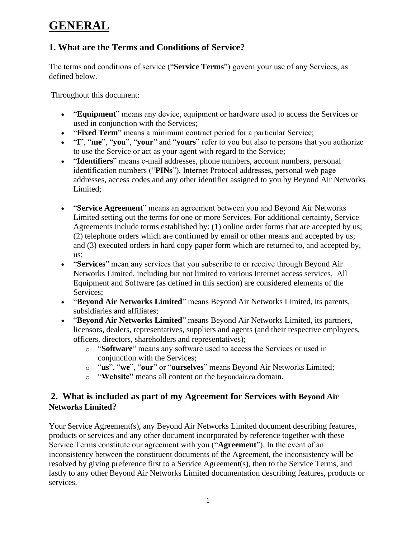# **GENERAL**

## **1. What are the Terms and Conditions of Service?**

The terms and conditions of service ("**Service Terms**") govern your use of any Services, as defined below.

Throughout this document:

- "**Equipment**" means any device, equipment or hardware used to access the Services or used in conjunction with the Services;
- "**Fixed Term**" means a minimum contract period for a particular Service;
- "**I**", "**me**", "**you**", "**your**" and "**yours**" refer to you but also to persons that you authorize to use the Service or act as your agent with regard to the Service;
- "**Identifiers**" means e-mail addresses, phone numbers, account numbers, personal identification numbers ("**PINs**"), Internet Protocol addresses, personal web page addresses, access codes and any other identifier assigned to you by Beyond Air Networks Limited;
- "**Service Agreement**" means an agreement between you and Beyond Air Networks Limited setting out the terms for one or more Services. For additional certainty, Service Agreements include terms established by: (1) online order forms that are accepted by us; (2) telephone orders which are confirmed by email or other means and accepted by us; and (3) executed orders in hard copy paper form which are returned to, and accepted by, us;
- "**Services**" mean any services that you subscribe to or receive through Beyond Air Networks Limited, including but not limited to various Internet access services. All Equipment and Software (as defined in this section) are considered elements of the Services;
- "**Beyond Air Networks Limited**" means Beyond Air Networks Limited, its parents, subsidiaries and affiliates;
- "**Beyond Air Networks Limited**" means Beyond Air Networks Limited, its partners, licensors, dealers, representatives, suppliers and agents (and their respective employees, officers, directors, shareholders and representatives);
	- o "**Software**" means any software used to access the Services or used in conjunction with the Services;
	- o "**us**", "**we**", "**our**" or "**ourselves**" means Beyond Air Networks Limited;
	- o "**Website"** means all content on the beyondair.ca domain.

#### **2. What is included as part of my Agreement for Services with Beyond Air Networks Limited?**

Your Service Agreement(s), any Beyond Air Networks Limited document describing features, products or services and any other document incorporated by reference together with these Service Terms constitute our agreement with you ("**Agreement**"). In the event of an inconsistency between the constituent documents of the Agreement, the inconsistency will be resolved by giving preference first to a Service Agreement(s), then to the Service Terms, and lastly to any other Beyond Air Networks Limited documentation describing features, products or services.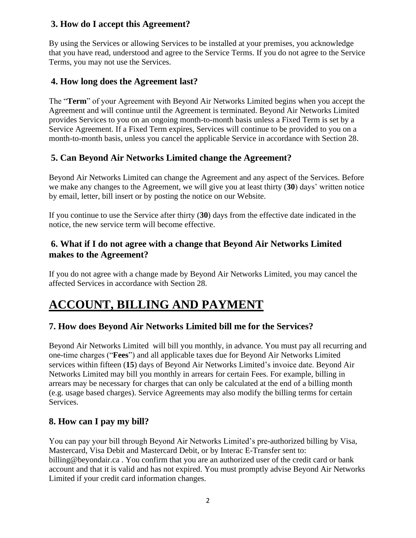### **3. How do I accept this Agreement?**

By using the Services or allowing Services to be installed at your premises, you acknowledge that you have read, understood and agree to the Service Terms. If you do not agree to the Service Terms, you may not use the Services.

## **4. How long does the Agreement last?**

The "**Term**" of your Agreement with Beyond Air Networks Limited begins when you accept the Agreement and will continue until the Agreement is terminated. Beyond Air Networks Limited provides Services to you on an ongoing month-to-month basis unless a Fixed Term is set by a Service Agreement. If a Fixed Term expires, Services will continue to be provided to you on a month-to-month basis, unless you cancel the applicable Service in accordance with Section 28.

## **5. Can Beyond Air Networks Limited change the Agreement?**

Beyond Air Networks Limited can change the Agreement and any aspect of the Services. Before we make any changes to the Agreement, we will give you at least thirty (**30**) days' written notice by email, letter, bill insert or by posting the notice on our Website.

If you continue to use the Service after thirty (**30**) days from the effective date indicated in the notice, the new service term will become effective.

### **6. What if I do not agree with a change that Beyond Air Networks Limited makes to the Agreement?**

If you do not agree with a change made by Beyond Air Networks Limited, you may cancel the affected Services in accordance with Section 28.

# **ACCOUNT, BILLING AND PAYMENT**

### **7. How does Beyond Air Networks Limited bill me for the Services?**

Beyond Air Networks Limited will bill you monthly, in advance. You must pay all recurring and one-time charges ("**Fees**") and all applicable taxes due for Beyond Air Networks Limited services within fifteen (**15**) days of Beyond Air Networks Limited's invoice date. Beyond Air Networks Limited may bill you monthly in arrears for certain Fees. For example, billing in arrears may be necessary for charges that can only be calculated at the end of a billing month (e.g. usage based charges). Service Agreements may also modify the billing terms for certain Services.

### **8. How can I pay my bill?**

You can pay your bill through Beyond Air Networks Limited's pre-authorized billing by Visa, Mastercard, Visa Debit and Mastercard Debit, or by Interac E-Transfer sent to: billing@beyondair.ca . You confirm that you are an authorized user of the credit card or bank account and that it is valid and has not expired. You must promptly advise Beyond Air Networks Limited if your credit card information changes.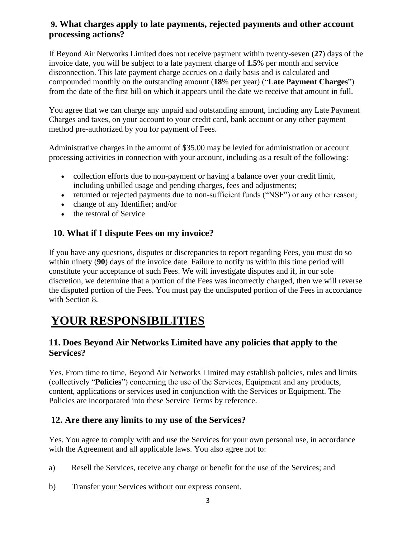#### **9. What charges apply to late payments, rejected payments and other account processing actions?**

If Beyond Air Networks Limited does not receive payment within twenty-seven (**27**) days of the invoice date, you will be subject to a late payment charge of **1.5**% per month and service disconnection. This late payment charge accrues on a daily basis and is calculated and compounded monthly on the outstanding amount (**18**% per year) ("**Late Payment Charges**") from the date of the first bill on which it appears until the date we receive that amount in full.

You agree that we can charge any unpaid and outstanding amount, including any Late Payment Charges and taxes, on your account to your credit card, bank account or any other payment method pre-authorized by you for payment of Fees.

Administrative charges in the amount of \$35.00 may be levied for administration or account processing activities in connection with your account, including as a result of the following:

- collection efforts due to non-payment or having a balance over your credit limit, including unbilled usage and pending charges, fees and adjustments;
- returned or rejected payments due to non-sufficient funds ("NSF") or any other reason;
- change of any Identifier; and/or
- the restoral of Service

### **10. What if I dispute Fees on my invoice?**

If you have any questions, disputes or discrepancies to report regarding Fees, you must do so within ninety (**90**) days of the invoice date. Failure to notify us within this time period will constitute your acceptance of such Fees. We will investigate disputes and if, in our sole discretion, we determine that a portion of the Fees was incorrectly charged, then we will reverse the disputed portion of the Fees. You must pay the undisputed portion of the Fees in accordance with Section 8.

# **YOUR RESPONSIBILITIES**

#### **11. Does Beyond Air Networks Limited have any policies that apply to the Services?**

Yes. From time to time, Beyond Air Networks Limited may establish policies, rules and limits (collectively "**Policies**") concerning the use of the Services, Equipment and any products, content, applications or services used in conjunction with the Services or Equipment. The Policies are incorporated into these Service Terms by reference.

#### **12. Are there any limits to my use of the Services?**

Yes. You agree to comply with and use the Services for your own personal use, in accordance with the Agreement and all applicable laws. You also agree not to:

- a) Resell the Services, receive any charge or benefit for the use of the Services; and
- b) Transfer your Services without our express consent.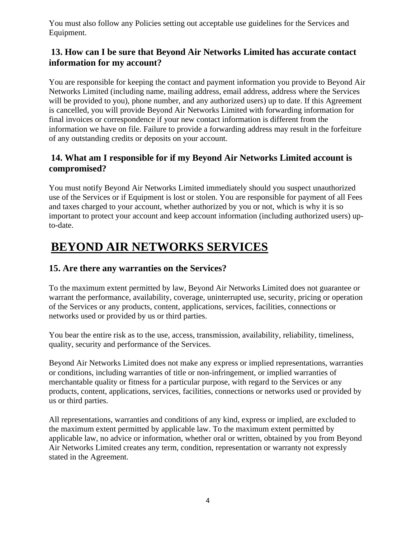You must also follow any Policies setting out acceptable use guidelines for the Services and Equipment.

## **13. How can I be sure that Beyond Air Networks Limited has accurate contact information for my account?**

You are responsible for keeping the contact and payment information you provide to Beyond Air Networks Limited (including name, mailing address, email address, address where the Services will be provided to you), phone number, and any authorized users) up to date. If this Agreement is cancelled, you will provide Beyond Air Networks Limited with forwarding information for final invoices or correspondence if your new contact information is different from the information we have on file. Failure to provide a forwarding address may result in the forfeiture of any outstanding credits or deposits on your account.

## **14. What am I responsible for if my Beyond Air Networks Limited account is compromised?**

You must notify Beyond Air Networks Limited immediately should you suspect unauthorized use of the Services or if Equipment is lost or stolen. You are responsible for payment of all Fees and taxes charged to your account, whether authorized by you or not, which is why it is so important to protect your account and keep account information (including authorized users) upto-date.

# **BEYOND AIR NETWORKS SERVICES**

## **15. Are there any warranties on the Services?**

To the maximum extent permitted by law, Beyond Air Networks Limited does not guarantee or warrant the performance, availability, coverage, uninterrupted use, security, pricing or operation of the Services or any products, content, applications, services, facilities, connections or networks used or provided by us or third parties.

You bear the entire risk as to the use, access, transmission, availability, reliability, timeliness, quality, security and performance of the Services.

Beyond Air Networks Limited does not make any express or implied representations, warranties or conditions, including warranties of title or non-infringement, or implied warranties of merchantable quality or fitness for a particular purpose, with regard to the Services or any products, content, applications, services, facilities, connections or networks used or provided by us or third parties.

All representations, warranties and conditions of any kind, express or implied, are excluded to the maximum extent permitted by applicable law. To the maximum extent permitted by applicable law, no advice or information, whether oral or written, obtained by you from Beyond Air Networks Limited creates any term, condition, representation or warranty not expressly stated in the Agreement.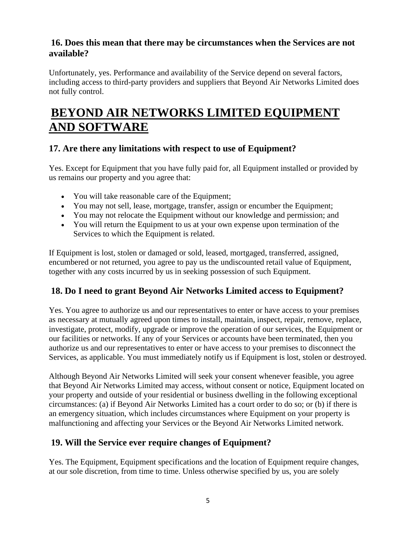#### **16. Does this mean that there may be circumstances when the Services are not available?**

Unfortunately, yes. Performance and availability of the Service depend on several factors, including access to third-party providers and suppliers that Beyond Air Networks Limited does not fully control.

# **BEYOND AIR NETWORKS LIMITED EQUIPMENT AND SOFTWARE**

## **17. Are there any limitations with respect to use of Equipment?**

Yes. Except for Equipment that you have fully paid for, all Equipment installed or provided by us remains our property and you agree that:

- You will take reasonable care of the Equipment;
- You may not sell, lease, mortgage, transfer, assign or encumber the Equipment;
- You may not relocate the Equipment without our knowledge and permission; and
- You will return the Equipment to us at your own expense upon termination of the Services to which the Equipment is related.

If Equipment is lost, stolen or damaged or sold, leased, mortgaged, transferred, assigned, encumbered or not returned, you agree to pay us the undiscounted retail value of Equipment, together with any costs incurred by us in seeking possession of such Equipment.

### **18. Do I need to grant Beyond Air Networks Limited access to Equipment?**

Yes. You agree to authorize us and our representatives to enter or have access to your premises as necessary at mutually agreed upon times to install, maintain, inspect, repair, remove, replace, investigate, protect, modify, upgrade or improve the operation of our services, the Equipment or our facilities or networks. If any of your Services or accounts have been terminated, then you authorize us and our representatives to enter or have access to your premises to disconnect the Services, as applicable. You must immediately notify us if Equipment is lost, stolen or destroyed.

Although Beyond Air Networks Limited will seek your consent whenever feasible, you agree that Beyond Air Networks Limited may access, without consent or notice, Equipment located on your property and outside of your residential or business dwelling in the following exceptional circumstances: (a) if Beyond Air Networks Limited has a court order to do so; or (b) if there is an emergency situation, which includes circumstances where Equipment on your property is malfunctioning and affecting your Services or the Beyond Air Networks Limited network.

### **19. Will the Service ever require changes of Equipment?**

Yes. The Equipment, Equipment specifications and the location of Equipment require changes, at our sole discretion, from time to time. Unless otherwise specified by us, you are solely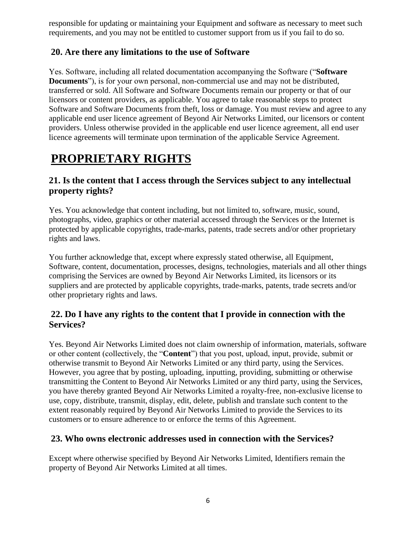responsible for updating or maintaining your Equipment and software as necessary to meet such requirements, and you may not be entitled to customer support from us if you fail to do so.

#### **20. Are there any limitations to the use of Software**

Yes. Software, including all related documentation accompanying the Software ("**Software Documents**"), is for your own personal, non-commercial use and may not be distributed, transferred or sold. All Software and Software Documents remain our property or that of our licensors or content providers, as applicable. You agree to take reasonable steps to protect Software and Software Documents from theft, loss or damage. You must review and agree to any applicable end user licence agreement of Beyond Air Networks Limited, our licensors or content providers. Unless otherwise provided in the applicable end user licence agreement, all end user licence agreements will terminate upon termination of the applicable Service Agreement.

# **PROPRIETARY RIGHTS**

### **21. Is the content that I access through the Services subject to any intellectual property rights?**

Yes. You acknowledge that content including, but not limited to, software, music, sound, photographs, video, graphics or other material accessed through the Services or the Internet is protected by applicable copyrights, trade-marks, patents, trade secrets and/or other proprietary rights and laws.

You further acknowledge that, except where expressly stated otherwise, all Equipment, Software, content, documentation, processes, designs, technologies, materials and all other things comprising the Services are owned by Beyond Air Networks Limited, its licensors or its suppliers and are protected by applicable copyrights, trade-marks, patents, trade secrets and/or other proprietary rights and laws.

#### **22. Do I have any rights to the content that I provide in connection with the Services?**

Yes. Beyond Air Networks Limited does not claim ownership of information, materials, software or other content (collectively, the "**Content**") that you post, upload, input, provide, submit or otherwise transmit to Beyond Air Networks Limited or any third party, using the Services. However, you agree that by posting, uploading, inputting, providing, submitting or otherwise transmitting the Content to Beyond Air Networks Limited or any third party, using the Services, you have thereby granted Beyond Air Networks Limited a royalty-free, non-exclusive license to use, copy, distribute, transmit, display, edit, delete, publish and translate such content to the extent reasonably required by Beyond Air Networks Limited to provide the Services to its customers or to ensure adherence to or enforce the terms of this Agreement.

### **23. Who owns electronic addresses used in connection with the Services?**

Except where otherwise specified by Beyond Air Networks Limited, Identifiers remain the property of Beyond Air Networks Limited at all times.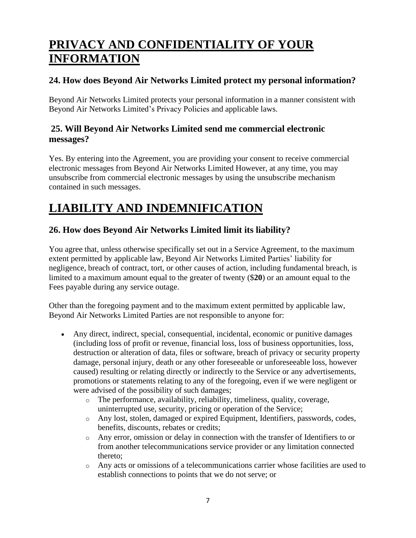# **PRIVACY AND CONFIDENTIALITY OF YOUR INFORMATION**

## **24. How does Beyond Air Networks Limited protect my personal information?**

Beyond Air Networks Limited protects your personal information in a manner consistent with Beyond Air Networks Limited's Privacy Policies and applicable laws.

#### **25. Will Beyond Air Networks Limited send me commercial electronic messages?**

Yes. By entering into the Agreement, you are providing your consent to receive commercial electronic messages from Beyond Air Networks Limited However, at any time, you may unsubscribe from commercial electronic messages by using the unsubscribe mechanism contained in such messages.

# **LIABILITY AND INDEMNIFICATION**

## **26. How does Beyond Air Networks Limited limit its liability?**

You agree that, unless otherwise specifically set out in a Service Agreement, to the maximum extent permitted by applicable law, Beyond Air Networks Limited Parties' liability for negligence, breach of contract, tort, or other causes of action, including fundamental breach, is limited to a maximum amount equal to the greater of twenty (\$**20**) or an amount equal to the Fees payable during any service outage.

Other than the foregoing payment and to the maximum extent permitted by applicable law, Beyond Air Networks Limited Parties are not responsible to anyone for:

- Any direct, indirect, special, consequential, incidental, economic or punitive damages (including loss of profit or revenue, financial loss, loss of business opportunities, loss, destruction or alteration of data, files or software, breach of privacy or security property damage, personal injury, death or any other foreseeable or unforeseeable loss, however caused) resulting or relating directly or indirectly to the Service or any advertisements, promotions or statements relating to any of the foregoing, even if we were negligent or were advised of the possibility of such damages;
	- o The performance, availability, reliability, timeliness, quality, coverage, uninterrupted use, security, pricing or operation of the Service;
	- o Any lost, stolen, damaged or expired Equipment, Identifiers, passwords, codes, benefits, discounts, rebates or credits;
	- o Any error, omission or delay in connection with the transfer of Identifiers to or from another telecommunications service provider or any limitation connected thereto;
	- o Any acts or omissions of a telecommunications carrier whose facilities are used to establish connections to points that we do not serve; or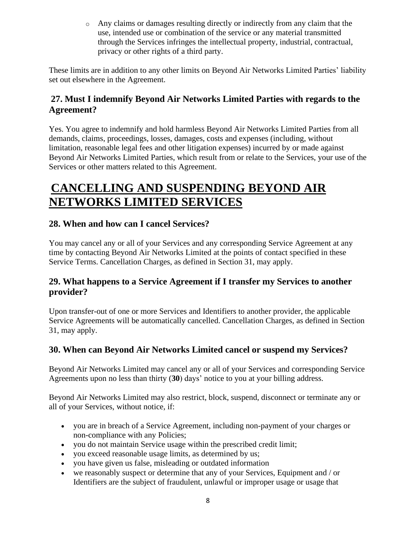o Any claims or damages resulting directly or indirectly from any claim that the use, intended use or combination of the service or any material transmitted through the Services infringes the intellectual property, industrial, contractual, privacy or other rights of a third party.

These limits are in addition to any other limits on Beyond Air Networks Limited Parties' liability set out elsewhere in the Agreement.

## **27. Must I indemnify Beyond Air Networks Limited Parties with regards to the Agreement?**

Yes. You agree to indemnify and hold harmless Beyond Air Networks Limited Parties from all demands, claims, proceedings, losses, damages, costs and expenses (including, without limitation, reasonable legal fees and other litigation expenses) incurred by or made against Beyond Air Networks Limited Parties, which result from or relate to the Services, your use of the Services or other matters related to this Agreement.

# **CANCELLING AND SUSPENDING BEYOND AIR NETWORKS LIMITED SERVICES**

### **28. When and how can I cancel Services?**

You may cancel any or all of your Services and any corresponding Service Agreement at any time by contacting Beyond Air Networks Limited at the points of contact specified in these Service Terms. Cancellation Charges, as defined in Section 31, may apply.

### **29. What happens to a Service Agreement if I transfer my Services to another provider?**

Upon transfer-out of one or more Services and Identifiers to another provider, the applicable Service Agreements will be automatically cancelled. Cancellation Charges, as defined in Section 31, may apply.

### **30. When can Beyond Air Networks Limited cancel or suspend my Services?**

Beyond Air Networks Limited may cancel any or all of your Services and corresponding Service Agreements upon no less than thirty (**30**) days' notice to you at your billing address.

Beyond Air Networks Limited may also restrict, block, suspend, disconnect or terminate any or all of your Services, without notice, if:

- you are in breach of a Service Agreement, including non-payment of your charges or non-compliance with any Policies;
- you do not maintain Service usage within the prescribed credit limit;
- you exceed reasonable usage limits, as determined by us;
- you have given us false, misleading or outdated information
- we reasonably suspect or determine that any of your Services, Equipment and / or Identifiers are the subject of fraudulent, unlawful or improper usage or usage that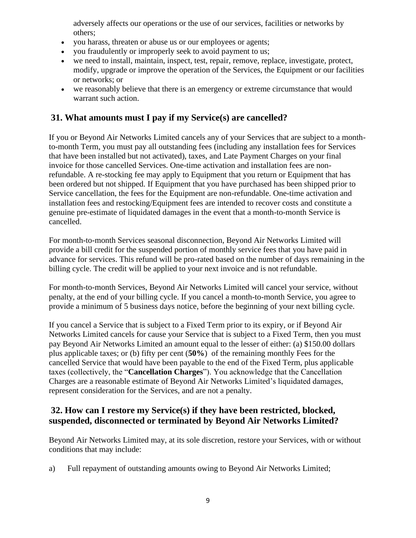adversely affects our operations or the use of our services, facilities or networks by others;

- you harass, threaten or abuse us or our employees or agents;
- you fraudulently or improperly seek to avoid payment to us;
- we need to install, maintain, inspect, test, repair, remove, replace, investigate, protect, modify, upgrade or improve the operation of the Services, the Equipment or our facilities or networks; or
- we reasonably believe that there is an emergency or extreme circumstance that would warrant such action.

#### **31. What amounts must I pay if my Service(s) are cancelled?**

If you or Beyond Air Networks Limited cancels any of your Services that are subject to a monthto-month Term, you must pay all outstanding fees (including any installation fees for Services that have been installed but not activated), taxes, and Late Payment Charges on your final invoice for those cancelled Services. One-time activation and installation fees are nonrefundable. A re-stocking fee may apply to Equipment that you return or Equipment that has been ordered but not shipped. If Equipment that you have purchased has been shipped prior to Service cancellation, the fees for the Equipment are non-refundable. One-time activation and installation fees and restocking/Equipment fees are intended to recover costs and constitute a genuine pre-estimate of liquidated damages in the event that a month-to-month Service is cancelled.

For month-to-month Services seasonal disconnection, Beyond Air Networks Limited will provide a bill credit for the suspended portion of monthly service fees that you have paid in advance for services. This refund will be pro-rated based on the number of days remaining in the billing cycle. The credit will be applied to your next invoice and is not refundable.

For month-to-month Services, Beyond Air Networks Limited will cancel your service, without penalty, at the end of your billing cycle. If you cancel a month-to-month Service, you agree to provide a minimum of 5 business days notice, before the beginning of your next billing cycle.

If you cancel a Service that is subject to a Fixed Term prior to its expiry, or if Beyond Air Networks Limited cancels for cause your Service that is subject to a Fixed Term, then you must pay Beyond Air Networks Limited an amount equal to the lesser of either: (a) \$150.00 dollars plus applicable taxes; or (b) fifty per cent (**50%**) of the remaining monthly Fees for the cancelled Service that would have been payable to the end of the Fixed Term, plus applicable taxes (collectively, the "**Cancellation Charges**"). You acknowledge that the Cancellation Charges are a reasonable estimate of Beyond Air Networks Limited's liquidated damages, represent consideration for the Services, and are not a penalty.

### **32. How can I restore my Service(s) if they have been restricted, blocked, suspended, disconnected or terminated by Beyond Air Networks Limited?**

Beyond Air Networks Limited may, at its sole discretion, restore your Services, with or without conditions that may include:

a) Full repayment of outstanding amounts owing to Beyond Air Networks Limited;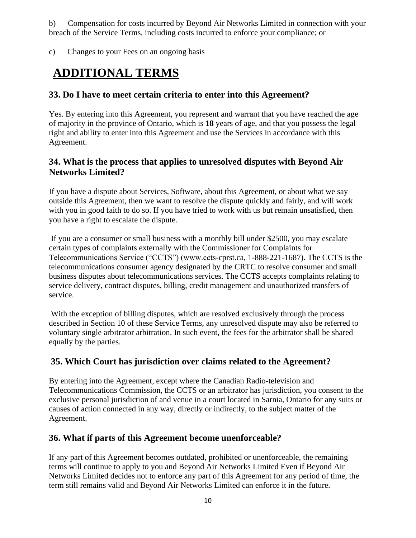b) Compensation for costs incurred by Beyond Air Networks Limited in connection with your breach of the Service Terms, including costs incurred to enforce your compliance; or

c) Changes to your Fees on an ongoing basis

# **ADDITIONAL TERMS**

### **33. Do I have to meet certain criteria to enter into this Agreement?**

Yes. By entering into this Agreement, you represent and warrant that you have reached the age of majority in the province of Ontario, which is **18** years of age, and that you possess the legal right and ability to enter into this Agreement and use the Services in accordance with this Agreement.

#### **34. What is the process that applies to unresolved disputes with Beyond Air Networks Limited?**

If you have a dispute about Services, Software, about this Agreement, or about what we say outside this Agreement, then we want to resolve the dispute quickly and fairly, and will work with you in good faith to do so. If you have tried to work with us but remain unsatisfied, then you have a right to escalate the dispute.

If you are a consumer or small business with a monthly bill under \$2500, you may escalate certain types of complaints externally with the Commissioner for Complaints for Telecommunications Service ("CCTS") (www.ccts-cprst.ca, 1-888-221-1687). The CCTS is the telecommunications consumer agency designated by the CRTC to resolve consumer and small business disputes about telecommunications services. The CCTS accepts complaints relating to service delivery, contract disputes, billing, credit management and unauthorized transfers of service.

With the exception of billing disputes, which are resolved exclusively through the process described in Section 10 of these Service Terms, any unresolved dispute may also be referred to voluntary single arbitrator arbitration. In such event, the fees for the arbitrator shall be shared equally by the parties.

### **35. Which Court has jurisdiction over claims related to the Agreement?**

By entering into the Agreement, except where the Canadian Radio-television and Telecommunications Commission, the CCTS or an arbitrator has jurisdiction, you consent to the exclusive personal jurisdiction of and venue in a court located in Sarnia, Ontario for any suits or causes of action connected in any way, directly or indirectly, to the subject matter of the Agreement.

### **36. What if parts of this Agreement become unenforceable?**

If any part of this Agreement becomes outdated, prohibited or unenforceable, the remaining terms will continue to apply to you and Beyond Air Networks Limited Even if Beyond Air Networks Limited decides not to enforce any part of this Agreement for any period of time, the term still remains valid and Beyond Air Networks Limited can enforce it in the future.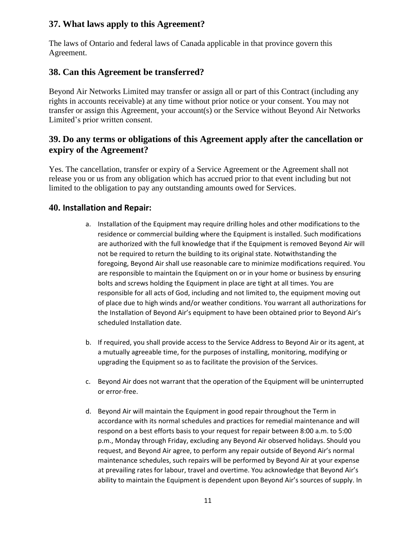### **37. What laws apply to this Agreement?**

The laws of Ontario and federal laws of Canada applicable in that province govern this Agreement.

#### **38. Can this Agreement be transferred?**

Beyond Air Networks Limited may transfer or assign all or part of this Contract (including any rights in accounts receivable) at any time without prior notice or your consent. You may not transfer or assign this Agreement, your account(s) or the Service without Beyond Air Networks Limited's prior written consent.

#### **39. Do any terms or obligations of this Agreement apply after the cancellation or expiry of the Agreement?**

Yes. The cancellation, transfer or expiry of a Service Agreement or the Agreement shall not release you or us from any obligation which has accrued prior to that event including but not limited to the obligation to pay any outstanding amounts owed for Services.

#### **40. Installation and Repair:**

- a. Installation of the Equipment may require drilling holes and other modifications to the residence or commercial building where the Equipment is installed. Such modifications are authorized with the full knowledge that if the Equipment is removed Beyond Air will not be required to return the building to its original state. Notwithstanding the foregoing, Beyond Air shall use reasonable care to minimize modifications required. You are responsible to maintain the Equipment on or in your home or business by ensuring bolts and screws holding the Equipment in place are tight at all times. You are responsible for all acts of God, including and not limited to, the equipment moving out of place due to high winds and/or weather conditions. You warrant all authorizations for the Installation of Beyond Air's equipment to have been obtained prior to Beyond Air's scheduled Installation date.
- b. If required, you shall provide access to the Service Address to Beyond Air or its agent, at a mutually agreeable time, for the purposes of installing, monitoring, modifying or upgrading the Equipment so as to facilitate the provision of the Services.
- c. Beyond Air does not warrant that the operation of the Equipment will be uninterrupted or error-free.
- d. Beyond Air will maintain the Equipment in good repair throughout the Term in accordance with its normal schedules and practices for remedial maintenance and will respond on a best efforts basis to your request for repair between 8:00 a.m. to 5:00 p.m., Monday through Friday, excluding any Beyond Air observed holidays. Should you request, and Beyond Air agree, to perform any repair outside of Beyond Air's normal maintenance schedules, such repairs will be performed by Beyond Air at your expense at prevailing rates for labour, travel and overtime. You acknowledge that Beyond Air's ability to maintain the Equipment is dependent upon Beyond Air's sources of supply. In